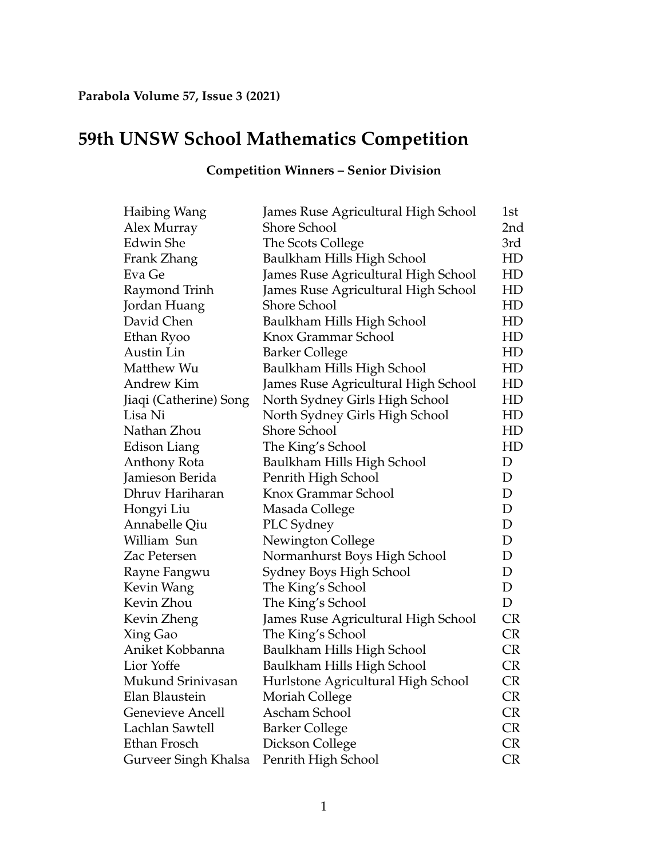## **59th UNSW School Mathematics Competition**

## **Competition Winners – Senior Division**

| Haibing Wang            | James Ruse Agricultural High School | 1st         |
|-------------------------|-------------------------------------|-------------|
| Alex Murray             | <b>Shore School</b>                 | 2nd         |
| <b>Edwin</b> She        | The Scots College                   | 3rd         |
| Frank Zhang             | Baulkham Hills High School          | HD          |
| Eva Ge                  | James Ruse Agricultural High School | HD          |
| Raymond Trinh           | James Ruse Agricultural High School | HD          |
| Jordan Huang            | Shore School                        | HD          |
| David Chen              | Baulkham Hills High School          | HD          |
| Ethan Ryoo              | Knox Grammar School                 | HD          |
| Austin Lin              | <b>Barker College</b>               | HD          |
| Matthew Wu              | Baulkham Hills High School          | HD          |
| Andrew Kim              | James Ruse Agricultural High School | HD          |
| Jiaqi (Catherine) Song  | North Sydney Girls High School      | HD          |
| Lisa Ni                 | North Sydney Girls High School      | HD          |
| Nathan Zhou             | <b>Shore School</b>                 | HD          |
| Edison Liang            | The King's School                   | HD          |
| Anthony Rota            | Baulkham Hills High School          | D           |
| Jamieson Berida         | Penrith High School                 | D           |
| Dhruv Hariharan         | Knox Grammar School                 | D           |
| Hongyi Liu              | Masada College                      | $\mathbf D$ |
| Annabelle Qiu           | PLC Sydney                          | D           |
| William Sun             | Newington College                   | D           |
| Zac Petersen            | Normanhurst Boys High School        | D           |
| Rayne Fangwu            | Sydney Boys High School             | $\mathbf D$ |
| Kevin Wang              | The King's School                   | $\mathbf D$ |
| Kevin Zhou              | The King's School                   | $\mathbf D$ |
| Kevin Zheng             | James Ruse Agricultural High School | <b>CR</b>   |
| Xing Gao                | The King's School                   | <b>CR</b>   |
| Aniket Kobbanna         | Baulkham Hills High School          | <b>CR</b>   |
| Lior Yoffe              | Baulkham Hills High School          | <b>CR</b>   |
| Mukund Srinivasan       | Hurlstone Agricultural High School  | <b>CR</b>   |
| Elan Blaustein          | Moriah College                      | <b>CR</b>   |
| <b>Genevieve Ancell</b> | Ascham School                       | <b>CR</b>   |
| Lachlan Sawtell         | <b>Barker College</b>               | <b>CR</b>   |
| Ethan Frosch            | Dickson College                     | <b>CR</b>   |
| Gurveer Singh Khalsa    | Penrith High School                 | <b>CR</b>   |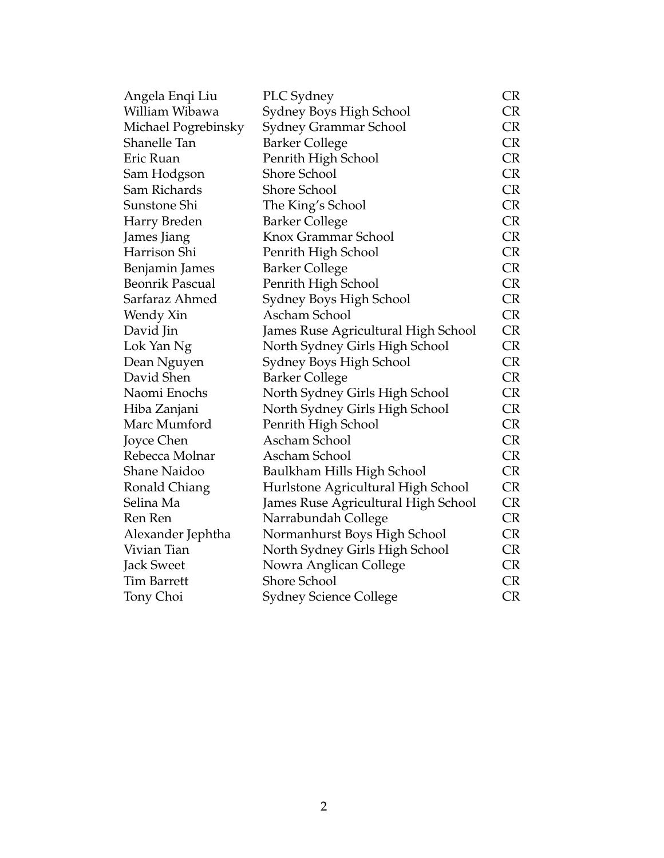|                                     | <b>CR</b>                                                                                                                                                                              |
|-------------------------------------|----------------------------------------------------------------------------------------------------------------------------------------------------------------------------------------|
|                                     | CR                                                                                                                                                                                     |
| Sydney Grammar School               | <b>CR</b>                                                                                                                                                                              |
| <b>Barker College</b>               | <b>CR</b>                                                                                                                                                                              |
|                                     | <b>CR</b>                                                                                                                                                                              |
| <b>Shore School</b>                 | <b>CR</b>                                                                                                                                                                              |
| <b>Shore School</b>                 | <b>CR</b>                                                                                                                                                                              |
| The King's School                   | <b>CR</b>                                                                                                                                                                              |
| <b>Barker College</b>               | <b>CR</b>                                                                                                                                                                              |
| Knox Grammar School                 | <b>CR</b>                                                                                                                                                                              |
| Penrith High School                 | <b>CR</b>                                                                                                                                                                              |
| <b>Barker College</b>               | <b>CR</b>                                                                                                                                                                              |
|                                     | <b>CR</b>                                                                                                                                                                              |
|                                     | <b>CR</b>                                                                                                                                                                              |
| Ascham School                       | <b>CR</b>                                                                                                                                                                              |
| James Ruse Agricultural High School | <b>CR</b>                                                                                                                                                                              |
| North Sydney Girls High School      | CR                                                                                                                                                                                     |
| Sydney Boys High School             | <b>CR</b>                                                                                                                                                                              |
| <b>Barker College</b>               | <b>CR</b>                                                                                                                                                                              |
| North Sydney Girls High School      | <b>CR</b>                                                                                                                                                                              |
| North Sydney Girls High School      | <b>CR</b>                                                                                                                                                                              |
| Penrith High School                 | <b>CR</b>                                                                                                                                                                              |
| Ascham School                       | <b>CR</b>                                                                                                                                                                              |
| Ascham School                       | <b>CR</b>                                                                                                                                                                              |
| Baulkham Hills High School          | <b>CR</b>                                                                                                                                                                              |
|                                     | <b>CR</b>                                                                                                                                                                              |
| James Ruse Agricultural High School | <b>CR</b>                                                                                                                                                                              |
| Narrabundah College                 | <b>CR</b>                                                                                                                                                                              |
| Normanhurst Boys High School        | <b>CR</b>                                                                                                                                                                              |
|                                     | <b>CR</b>                                                                                                                                                                              |
| Nowra Anglican College              | <b>CR</b>                                                                                                                                                                              |
| <b>Shore School</b>                 | <b>CR</b>                                                                                                                                                                              |
| <b>Sydney Science College</b>       | <b>CR</b>                                                                                                                                                                              |
|                                     | PLC Sydney<br>Sydney Boys High School<br>Penrith High School<br>Penrith High School<br>Sydney Boys High School<br>Hurlstone Agricultural High School<br>North Sydney Girls High School |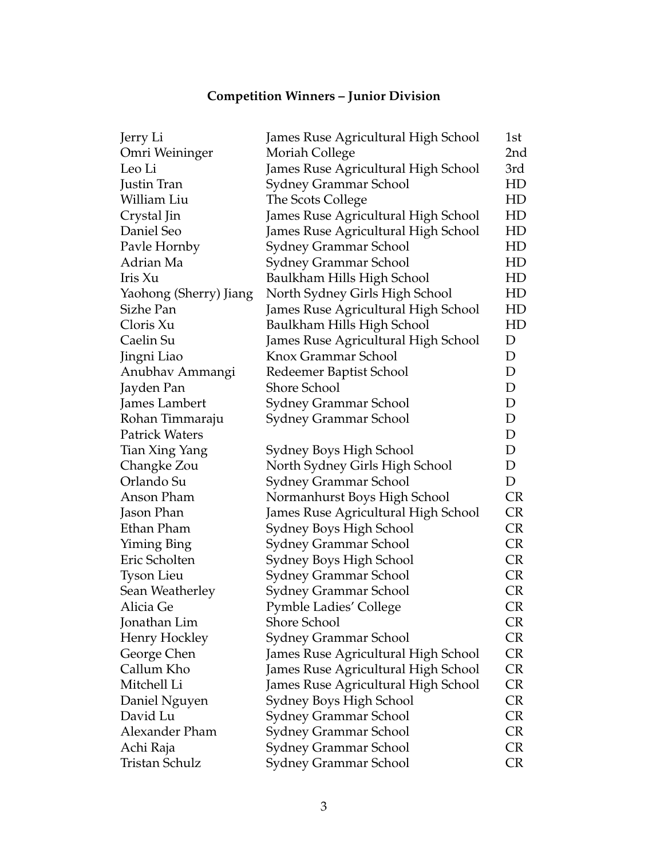## **Competition Winners – Junior Division**

| Jerry Li               | James Ruse Agricultural High School | 1st         |
|------------------------|-------------------------------------|-------------|
| Omri Weininger         | Moriah College                      | 2nd         |
| Leo Li                 | James Ruse Agricultural High School | 3rd         |
| Justin Tran            | Sydney Grammar School               | HD          |
| William Liu            | The Scots College                   | HD          |
| Crystal Jin            | James Ruse Agricultural High School | HD          |
| Daniel Seo             | James Ruse Agricultural High School | HD          |
| Pavle Hornby           | Sydney Grammar School               | HD          |
| Adrian Ma              | Sydney Grammar School               | HD          |
| Iris Xu                | Baulkham Hills High School          | HD          |
| Yaohong (Sherry) Jiang | North Sydney Girls High School      | HD          |
| Sizhe Pan              | James Ruse Agricultural High School | HD          |
| Cloris Xu              | Baulkham Hills High School          | HD          |
| Caelin Su              | James Ruse Agricultural High School | D           |
| Jingni Liao            | Knox Grammar School                 | D           |
| Anubhav Ammangi        | Redeemer Baptist School             | $\mathbf D$ |
| Jayden Pan             | <b>Shore School</b>                 | $\mathbf D$ |
| James Lambert          | Sydney Grammar School               | $\mathbf D$ |
| Rohan Timmaraju        | <b>Sydney Grammar School</b>        | $\mathbf D$ |
| <b>Patrick Waters</b>  |                                     | D           |
| Tian Xing Yang         | Sydney Boys High School             | D           |
| Changke Zou            | North Sydney Girls High School      | D           |
| Orlando Su             | Sydney Grammar School               | D           |
| Anson Pham             | Normanhurst Boys High School        | <b>CR</b>   |
| Jason Phan             | James Ruse Agricultural High School | <b>CR</b>   |
| Ethan Pham             | Sydney Boys High School             | <b>CR</b>   |
| Yiming Bing            | Sydney Grammar School               | <b>CR</b>   |
| Eric Scholten          | Sydney Boys High School             | <b>CR</b>   |
| <b>Tyson Lieu</b>      | Sydney Grammar School               | <b>CR</b>   |
| Sean Weatherley        | Sydney Grammar School               | <b>CR</b>   |
| Alicia Ge              | <b>Pymble Ladies' College</b>       | <b>CR</b>   |
| Jonathan Lim           | Shore School                        | CR.         |
| Henry Hockley          | <b>Sydney Grammar School</b>        | CR          |
| George Chen            | James Ruse Agricultural High School | CR          |
| Callum Kho             | James Ruse Agricultural High School | <b>CR</b>   |
| Mitchell Li            | James Ruse Agricultural High School | CR          |
| Daniel Nguyen          | Sydney Boys High School             | CR          |
| David Lu               | Sydney Grammar School               | CR          |
| Alexander Pham         | Sydney Grammar School               | CR          |
| Achi Raja              | Sydney Grammar School               | <b>CR</b>   |
| Tristan Schulz         | Sydney Grammar School               | <b>CR</b>   |